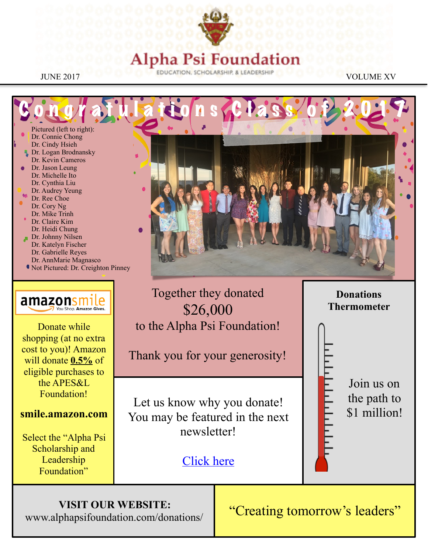

#### Founda ha Psi

Congratulations Class of 2017 Pictured (left to right): Dr. Connie Chong Dr. Cindy Hsieh Dr. Logan Brodnansky Dr. Kevin Cameros Dr. Jason Leung Dr. Michelle Ito Dr. Cynthia Liu Dr. Audrey Yeung Dr. Ree Choe Dr. Cory Ng Dr. Mike Trinh Dr. Claire Kim Dr. Heidi Chung Dr. Johnny Nilsen Dr. Katelyn Fischer Dr. Gabrielle Reyes Dr. AnnMarie Magnasco

Not Pictured: Dr. Creighton Pinney



Donate while shopping (at no extra cost to you)! Amazon will donate **0.5%** of eligible purchases to the APES&L Foundation!

#### **smile.amazon.com**

Select the "Alpha Psi Scholarship and Leadership Foundation"





Let us know why you donate! You may be featured in the next newsletter!

to the Alpha Psi Foundation!

Thank you for your generosity!

[Click here](https://goo.gl/forms/JJPJFYNlwBLo19gQ2)

Join us on the path to \$1 million!

#### **VISIT OUR WEBSITE:**

www.alphapsifoundation.com/donations/

"Creating tomorrow's leaders"